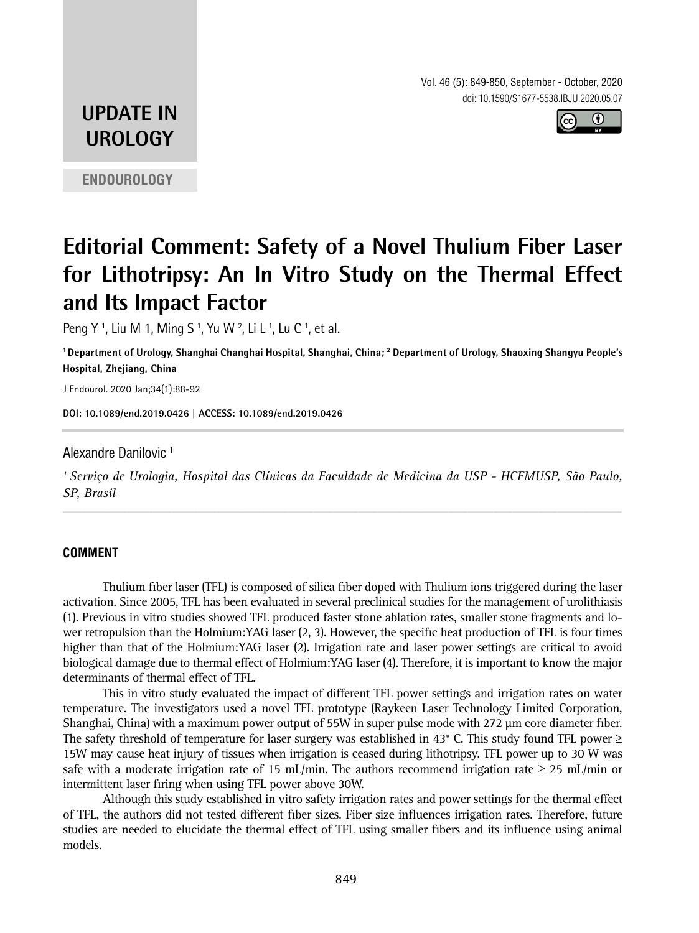Vol. 46 (5): 849-850, September - October, 2020 doi: 10.1590/S1677-5538.IBJU.2020.05.07



## **UPDATE IN UROLOGY**

**ENDOUROLOGY**

# **Editorial Comment: Safety of a Novel Thulium Fiber Laser for Lithotripsy: An In Vitro Study on the Thermal Effect and Its Impact Factor**

Peng Y <sup>1</sup>, Liu M 1, Ming S <sup>1</sup>, Yu W <sup>2</sup>, Li L <sup>1</sup>, Lu C <sup>1</sup>, et al.

**1 Department of Urology, Shanghai Changhai Hospital, Shanghai, China; 2 Department of Urology, Shaoxing Shangyu People's Hospital, Zhejiang, China**

J Endourol. 2020 Jan;34(1):88-92

**DOI: 10.1089/end.2019.0426 | ACCESS: [10.1089/end.2019.0426](https://doi.org/10.1089/end.2019.0426) \_\_\_\_\_\_\_\_\_\_\_\_\_\_\_\_\_\_\_\_\_\_\_\_\_\_\_\_\_\_\_\_\_\_\_\_\_\_\_\_\_\_\_\_\_**

Alexandre Danilovic 1

*1 Serviço de Urologia, Hospital das Clínicas da Faculdade de Medicina da USP - HCFMUSP, São Paulo, SP, Brasil \_\_\_\_\_\_\_\_\_\_\_\_\_\_\_\_\_\_\_\_\_\_\_\_\_\_\_\_\_\_\_\_\_\_\_\_\_\_\_\_\_\_\_\_\_\_\_\_\_\_\_\_\_\_\_\_\_\_\_\_\_\_\_\_\_\_\_\_\_\_\_\_\_\_\_\_\_\_\_\_\_\_\_\_\_\_\_*

#### **COMMENT**

Thulium fiber laser (TFL) is composed of silica fiber doped with Thulium ions triggered during the laser activation. Since 2005, TFL has been evaluated in several preclinical studies for the management of urolithiasis (1). Previous in vitro studies showed TFL produced faster stone ablation rates, smaller stone fragments and lower retropulsion than the Holmium:YAG laser (2, 3). However, the specific heat production of TFL is four times higher than that of the Holmium:YAG laser (2). Irrigation rate and laser power settings are critical to avoid biological damage due to thermal effect of Holmium:YAG laser (4). Therefore, it is important to know the major determinants of thermal effect of TFL.

This in vitro study evaluated the impact of different TFL power settings and irrigation rates on water temperature. The investigators used a novel TFL prototype (Raykeen Laser Technology Limited Corporation, Shanghai, China) with a maximum power output of 55W in super pulse mode with 272 μm core diameter fiber. The safety threshold of temperature for laser surgery was established in 43° C. This study found TFL power ≥ 15W may cause heat injury of tissues when irrigation is ceased during lithotripsy. TFL power up to 30 W was safe with a moderate irrigation rate of 15 mL/min. The authors recommend irrigation rate  $\geq$  25 mL/min or intermittent laser firing when using TFL power above 30W.

Although this study established in vitro safety irrigation rates and power settings for the thermal effect of TFL, the authors did not tested different fiber sizes. Fiber size influences irrigation rates. Therefore, future studies are needed to elucidate the thermal effect of TFL using smaller fibers and its influence using animal models.